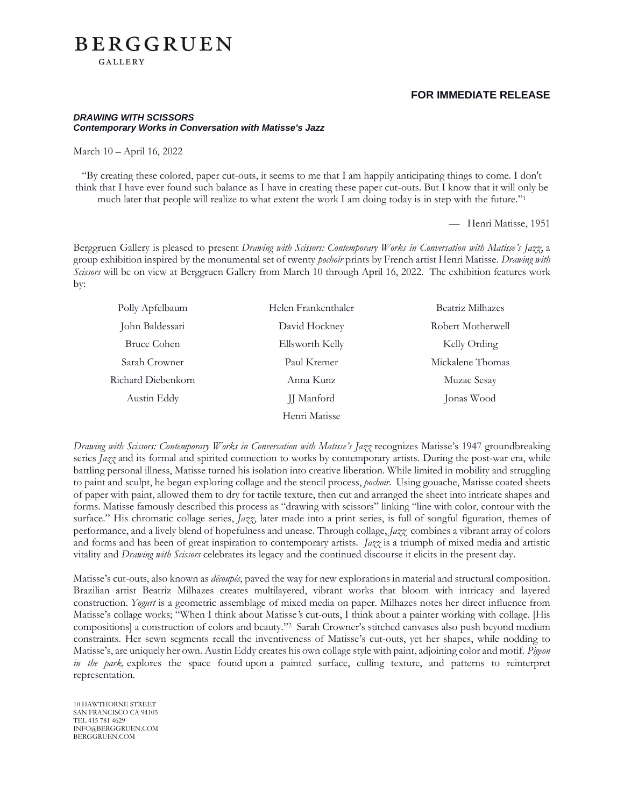### **FOR IMMEDIATE RELEASE**

#### *DRAWING WITH SCISSORS Contemporary Works in Conversation with Matisse's Jazz*

March 10 – April 16, 2022

**GALLERY** 

**BERGGRUEN** 

"By creating these colored, paper cut-outs, it seems to me that I am happily anticipating things to come. I don't think that I have ever found such balance as I have in creating these paper cut-outs. But I know that it will only be much later that people will realize to what extent the work I am doing today is in step with the future." 1

— Henri Matisse, 1951

Berggruen Gallery is pleased to present *Drawing with Scissors: Contemporary Works in Conversation with Matisse's Jazz*, a group exhibition inspired by the monumental set of twenty *pochoir* prints by French artist Henri Matisse. *Drawing with Scissors* will be on view at Berggruen Gallery from March 10 through April 16, 2022. The exhibition features work by:

| Polly Apfelbaum    | Helen Frankenthaler | Beatriz Milhazes  |
|--------------------|---------------------|-------------------|
| John Baldessari    | David Hockney       | Robert Motherwell |
| Bruce Cohen        | Ellsworth Kelly     | Kelly Ording      |
| Sarah Crowner      | Paul Kremer         | Mickalene Thomas  |
| Richard Diebenkorn | Anna Kunz           | Muzae Sesay       |
| Austin Eddy        | <b>JJ</b> Manford   | Jonas Wood        |
|                    | Henri Matisse       |                   |

*Drawing with Scissors: Contemporary Works in Conversation with Matisse's Jazz* recognizes Matisse's 1947 groundbreaking series *Jazz* and its formal and spirited connection to works by contemporary artists. During the post-war era, while battling personal illness, Matisse turned his isolation into creative liberation. While limited in mobility and struggling to paint and sculpt, he began exploring collage and the stencil process, *pochoir*. Using gouache, Matisse coated sheets of paper with paint, allowed them to dry for tactile texture, then cut and arranged the sheet into intricate shapes and forms. Matisse famously described this process as "drawing with scissors" linking "line with color, contour with the surface." His chromatic collage series, *Jazz*, later made into a print series, is full of songful figuration, themes of performance, and a lively blend of hopefulness and unease. Through collage, *Jazz* combines a vibrant array of colors and forms and has been of great inspiration to contemporary artists. *Jazz* is a triumph of mixed media and artistic vitality and *Drawing with Scissors* celebrates its legacy and the continued discourse it elicits in the present day.

Matisse's cut-outs, also known as *découpés*, paved the way for new explorations in material and structural composition. Brazilian artist Beatriz Milhazes creates multilayered, vibrant works that bloom with intricacy and layered construction. *Yogurt* is a geometric assemblage of mixed media on paper. Milhazes notes her direct influence from Matisse's collage works; "When I think about Matisse*'*s [cut-outs,](https://www.tate.org.uk/whats-on/tate-modern/exhibition/henri-matisse-cut-outs) I think about a painter working with collage. [His compositions] a construction of colors and beauty." <sup>2</sup> Sarah Crowner's stitched canvases also push beyond medium constraints. Her sewn segments recall the inventiveness of Matisse's cut-outs, yet her shapes, while nodding to Matisse's, are uniquely her own. Austin Eddy creates his own collage style with paint, adjoining color and motif. *Pigeon in the park*, explores the space found upon a painted surface, culling texture, and patterns to reinterpret representation.

10 HAWTHORNE STREET SAN FRANCISCO CA 94105 TEL 415 781 4629 INFO@BERGGRUEN.COM BERGGRUEN.COM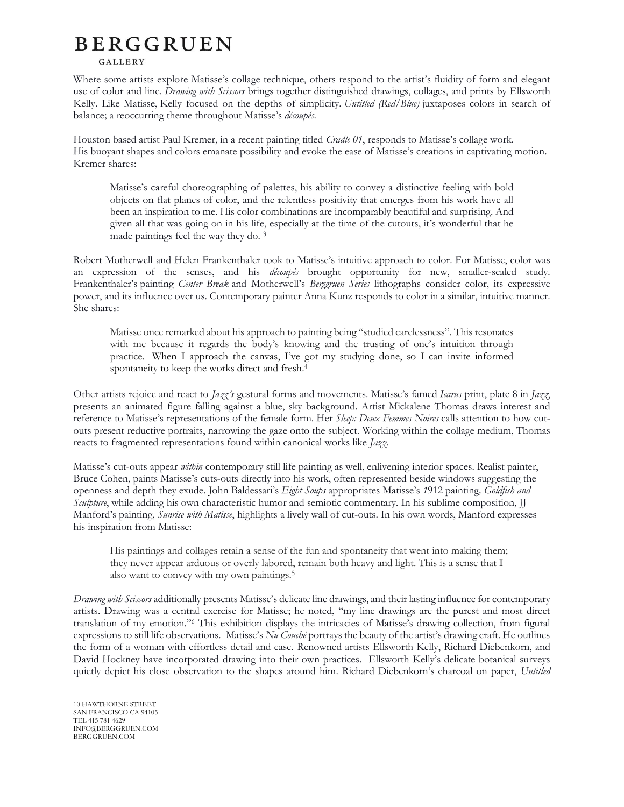# **BERGGRUEN**

#### **GALLERY**

Where some artists explore Matisse's collage technique, others respond to the artist's fluidity of form and elegant use of color and line. *Drawing with Scissors* brings together distinguished drawings, collages, and prints by Ellsworth Kelly. Like Matisse, Kelly focused on the depths of simplicity. *Untitled (Red/Blue)* juxtaposes colors in search of balance; a reoccurring theme throughout Matisse's *découpés*.

Houston based artist Paul Kremer, in a recent painting titled *Cradle 01*, responds to Matisse's collage work. His buoyant shapes and colors emanate possibility and evoke the ease of Matisse's creations in captivating motion. Kremer shares:

Matisse's careful choreographing of palettes, his ability to convey a distinctive feeling with bold objects on flat planes of color, and the relentless positivity that emerges from his work have all been an inspiration to me. His color combinations are incomparably beautiful and surprising. And given all that was going on in his life, especially at the time of the cutouts, it's wonderful that he made paintings feel the way they do. <sup>3</sup>

Robert Motherwell and Helen Frankenthaler took to Matisse's intuitive approach to color. For Matisse, color was an expression of the senses, and his *découpés* brought opportunity for new, smaller-scaled study. Frankenthaler's painting *Center Break* and Motherwell's *Berggruen Series* lithographs consider color, its expressive power, and its influence over us. Contemporary painter Anna Kunz responds to color in a similar, intuitive manner. She shares:

Matisse once remarked about his approach to painting being "studied carelessness". This resonates with me because it regards the body's knowing and the trusting of one's intuition through practice. When I approach the canvas, I've got my studying done, so I can invite informed spontaneity to keep the works direct and fresh. 4

Other artists rejoice and react to *Jazz's* gestural forms and movements. Matisse's famed *Icarus* print, plate 8 in *Jazz*, presents an animated figure falling against a blue, sky background. Artist Mickalene Thomas draws interest and reference to Matisse's representations of the female form. Her *Sleep: Deux Femmes Noires* calls attention to how cutouts present reductive portraits, narrowing the gaze onto the subject. Working within the collage medium, Thomas reacts to fragmented representations found within canonical works like *Jazz.*

Matisse's cut-outs appear *within* contemporary still life painting as well, enlivening interior spaces. Realist painter, Bruce Cohen, paints Matisse's cuts-outs directly into his work, often represented beside windows suggesting the openness and depth they exude. John Baldessari's *Eight Soups* appropriates Matisse's *1*912 painting*, Goldfish and Sculpture*, while adding his own characteristic humor and semiotic commentary*.* In his sublime composition, JJ Manford's painting, *Sunrise with Matisse*, highlights a lively wall of cut-outs. In his own words, Manford expresses his inspiration from Matisse:

His paintings and collages retain a sense of the fun and spontaneity that went into making them; they never appear arduous or overly labored, remain both heavy and light. This is a sense that I also want to convey with my own paintings.<sup>5</sup>

*Drawing with Scissors* additionally presents Matisse's delicate line drawings, and their lasting influence for contemporary artists. Drawing was a central exercise for Matisse; he noted, "my line drawings are the purest and most direct translation of my emotion."<sup>6</sup> This exhibition displays the intricacies of Matisse's drawing collection, from figural expressions to still life observations. Matisse's *Nu Couché* portrays the beauty of the artist's drawing craft. He outlines the form of a woman with effortless detail and ease. Renowned artists Ellsworth Kelly, Richard Diebenkorn, and David Hockney have incorporated drawing into their own practices. Ellsworth Kelly's delicate botanical surveys quietly depict his close observation to the shapes around him. Richard Diebenkorn's charcoal on paper, *Untitled*

10 HAWTHORNE STREET SAN FRANCISCO CA 94105 TEL 415 781 4629 INFO@BERGGRUEN.COM BERGGRUEN.COM